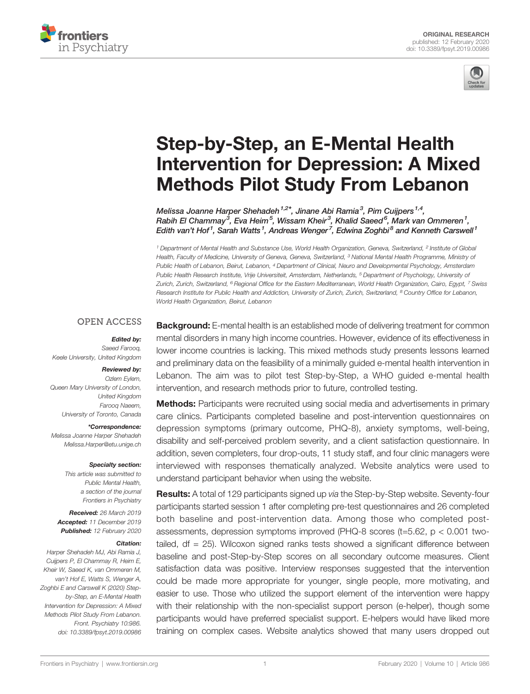



# [Step-by-Step, an E-Mental Health](https://www.frontiersin.org/article/10.3389/fpsyt.2019.00986/full) [Intervention for Depression: A Mixed](https://www.frontiersin.org/article/10.3389/fpsyt.2019.00986/full) [Methods Pilot Study From Lebanon](https://www.frontiersin.org/article/10.3389/fpsyt.2019.00986/full)

[Melissa Joanne Harper Shehadeh](https://loop.frontiersin.org/people/696368)<sup>1,2\*</sup>, Jinane Abi Ramia<sup>3</sup>, [Pim Cuijpers](https://loop.frontiersin.org/people/859711)<sup>1,4</sup>, Rabih El Chammay<sup>3</sup>, [Eva Heim](https://loop.frontiersin.org/people/768311)<sup>5</sup>, Wissam Kheir<sup>3</sup>, Khalid Saeed<sup>6</sup>, Mark van Ommeren<sup>1</sup>, Edith van't Hof<sup>1</sup>, Sarah Watts<sup>1</sup>, Andreas Wenger<sup>7</sup>, Edwina Zoghbi<sup>8</sup> and Kenneth Carswell<sup>1</sup>

<sup>1</sup> Department of Mental Health and Substance Use, World Health Organization, Geneva, Switzerland, <sup>2</sup> Institute of Global Health, Faculty of Medicine, University of Geneva, Geneva, Switzerland, <sup>3</sup> National Mental Health Programme, Ministry of Public Health of Lebanon, Beirut, Lebanon, <sup>4</sup> Department of Clinical, Neuro and Developmental Psychology, Amsterdam Public Health Research Institute, Vrije Universiteit, Amsterdam, Netherlands, <sup>5</sup> Department of Psychology, University of Zurich, Zurich, Switzerland, <sup>6</sup> Regional Office for the Eastern Mediterranean, World Health Organization, Cairo, Egypt, <sup>7</sup> Swiss Research Institute for Public Health and Addiction, University of Zurich, Zurich, Switzerland, <sup>8</sup> Country Office for Lebanon, World Health Organization, Beirut, Lebanon

### **OPEN ACCESS**

Edited by: Saeed Farooq, Keele University, United Kingdom

### Reviewed by:

Ozlem Eylem, Queen Mary University of London, United Kingdom Farooq Naeem, University of Toronto, Canada

#### \*Correspondence:

Melissa Joanne Harper Shehadeh [Melissa.Harper@etu.unige.ch](mailto:Melissa.Harper@etu.unige.ch)

#### Specialty section:

This article was submitted to Public Mental Health, a section of the journal Frontiers in Psychiatry

Received: 26 March 2019 Accepted: 11 December 2019 Published: 12 February 2020

#### Citation:

Harper Shehadeh MJ, Abi Ramia J, Cuijpers P, El Chammay R, Heim E, Kheir W, Saeed K, van Ommeren M, van't Hof E, Watts S, Wenger A, Zoghbi E and Carswell K (2020) Stepby-Step, an E-Mental Health Intervention for Depression: A Mixed Methods Pilot Study From Lebanon. Front. Psychiatry 10:986. [doi: 10.3389/fpsyt.2019.00986](https://doi.org/10.3389/fpsyt.2019.00986)

**Background:** E-mental health is an established mode of delivering treatment for common mental disorders in many high income countries. However, evidence of its effectiveness in lower income countries is lacking. This mixed methods study presents lessons learned and preliminary data on the feasibility of a minimally guided e-mental health intervention in Lebanon. The aim was to pilot test Step-by-Step, a WHO guided e-mental health intervention, and research methods prior to future, controlled testing.

Methods: Participants were recruited using social media and advertisements in primary care clinics. Participants completed baseline and post-intervention questionnaires on depression symptoms (primary outcome, PHQ-8), anxiety symptoms, well-being, disability and self-perceived problem severity, and a client satisfaction questionnaire. In addition, seven completers, four drop-outs, 11 study staff, and four clinic managers were interviewed with responses thematically analyzed. Website analytics were used to understand participant behavior when using the website.

Results: A total of 129 participants signed up via the Step-by-Step website. Seventy-four participants started session 1 after completing pre-test questionnaires and 26 completed both baseline and post-intervention data. Among those who completed postassessments, depression symptoms improved (PHQ-8 scores (t=5.62, p < 0.001 twotailed, df = 25). Wilcoxon signed ranks tests showed a significant difference between baseline and post-Step-by-Step scores on all secondary outcome measures. Client satisfaction data was positive. Interview responses suggested that the intervention could be made more appropriate for younger, single people, more motivating, and easier to use. Those who utilized the support element of the intervention were happy with their relationship with the non-specialist support person (e-helper), though some participants would have preferred specialist support. E-helpers would have liked more training on complex cases. Website analytics showed that many users dropped out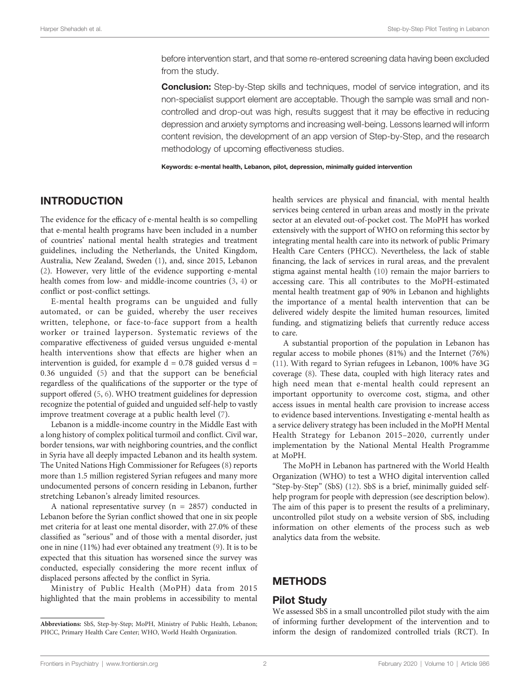before intervention start, and that some re-entered screening data having been excluded from the study.

**Conclusion:** Step-by-Step skills and techniques, model of service integration, and its non-specialist support element are acceptable. Though the sample was small and noncontrolled and drop-out was high, results suggest that it may be effective in reducing depression and anxiety symptoms and increasing well-being. Lessons learned will inform content revision, the development of an app version of Step-by-Step, and the research methodology of upcoming effectiveness studies.

Keywords: e-mental health, Lebanon, pilot, depression, minimally guided intervention

# INTRODUCTION

The evidence for the efficacy of e-mental health is so compelling that e-mental health programs have been included in a number of countries' national mental health strategies and treatment guidelines, including the Netherlands, the United Kingdom, Australia, New Zealand, Sweden [\(1\)](#page-9-0), and, since 2015, Lebanon ([2](#page-9-0)). However, very little of the evidence supporting e-mental health comes from low- and middle-income countries [\(3,](#page-9-0) [4\)](#page-9-0) or conflict or post-conflict settings.

E-mental health programs can be unguided and fully automated, or can be guided, whereby the user receives written, telephone, or face-to-face support from a health worker or trained layperson. Systematic reviews of the comparative effectiveness of guided versus unguided e-mental health interventions show that effects are higher when an intervention is guided, for example  $d = 0.78$  guided versus  $d =$ 0.36 unguided [\(5](#page-9-0)) and that the support can be beneficial regardless of the qualifications of the supporter or the type of support offered ([5](#page-9-0), [6](#page-9-0)). WHO treatment guidelines for depression recognize the potential of guided and unguided self-help to vastly improve treatment coverage at a public health level [\(7\)](#page-9-0).

Lebanon is a middle-income country in the Middle East with a long history of complex political turmoil and conflict. Civil war, border tensions, war with neighboring countries, and the conflict in Syria have all deeply impacted Lebanon and its health system. The United Nations High Commissioner for Refugees [\(8\)](#page-9-0) reports more than 1.5 million registered Syrian refugees and many more undocumented persons of concern residing in Lebanon, further stretching Lebanon's already limited resources.

A national representative survey ( $n = 2857$ ) conducted in Lebanon before the Syrian conflict showed that one in six people met criteria for at least one mental disorder, with 27.0% of these classified as "serious" and of those with a mental disorder, just one in nine (11%) had ever obtained any treatment [\(9\)](#page-9-0). It is to be expected that this situation has worsened since the survey was conducted, especially considering the more recent influx of displaced persons affected by the conflict in Syria.

Ministry of Public Health (MoPH) data from 2015 highlighted that the main problems in accessibility to mental health services are physical and financial, with mental health services being centered in urban areas and mostly in the private sector at an elevated out-of-pocket cost. The MoPH has worked extensively with the support of WHO on reforming this sector by integrating mental health care into its network of public Primary Health Care Centers (PHCC). Nevertheless, the lack of stable financing, the lack of services in rural areas, and the prevalent stigma against mental health [\(10\)](#page-9-0) remain the major barriers to accessing care. This all contributes to the MoPH-estimated mental health treatment gap of 90% in Lebanon and highlights the importance of a mental health intervention that can be delivered widely despite the limited human resources, limited funding, and stigmatizing beliefs that currently reduce access to care.

A substantial proportion of the population in Lebanon has regular access to mobile phones (81%) and the Internet (76%) [\(11\)](#page-9-0). With regard to Syrian refugees in Lebanon, 100% have 3G coverage [\(8\)](#page-9-0). These data, coupled with high literacy rates and high need mean that e-mental health could represent an important opportunity to overcome cost, stigma, and other access issues in mental health care provision to increase access to evidence based interventions. Investigating e-mental health as a service delivery strategy has been included in the MoPH Mental Health Strategy for Lebanon 2015–2020, currently under implementation by the National Mental Health Programme at MoPH.

The MoPH in Lebanon has partnered with the World Health Organization (WHO) to test a WHO digital intervention called "Step-by-Step" (SbS) [\(12](#page-9-0)). SbS is a brief, minimally guided selfhelp program for people with depression (see description below). The aim of this paper is to present the results of a preliminary, uncontrolled pilot study on a website version of SbS, including information on other elements of the process such as web analytics data from the website.

# **METHODS**

### Pilot Study

We assessed SbS in a small uncontrolled pilot study with the aim of informing further development of the intervention and to inform the design of randomized controlled trials (RCT). In

Abbreviations: SbS, Step-by-Step; MoPH, Ministry of Public Health, Lebanon; PHCC, Primary Health Care Center; WHO, World Health Organization.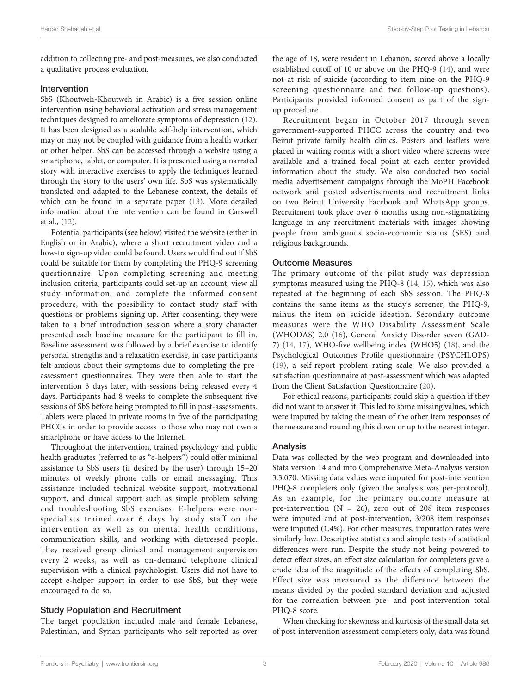addition to collecting pre- and post-measures, we also conducted a qualitative process evaluation.

#### Intervention

SbS (Khoutweh-Khoutweh in Arabic) is a five session online intervention using behavioral activation and stress management techniques designed to ameliorate symptoms of depression ([12\)](#page-9-0). It has been designed as a scalable self-help intervention, which may or may not be coupled with guidance from a health worker or other helper. SbS can be accessed through a website using a smartphone, tablet, or computer. It is presented using a narrated story with interactive exercises to apply the techniques learned through the story to the users' own life. SbS was systematically translated and adapted to the Lebanese context, the details of which can be found in a separate paper ([13\)](#page-9-0). More detailed information about the intervention can be found in Carswell et al., ([12\)](#page-9-0).

Potential participants (see below) visited the website (either in English or in Arabic), where a short recruitment video and a how-to sign-up video could be found. Users would find out if SbS could be suitable for them by completing the PHQ-9 screening questionnaire. Upon completing screening and meeting inclusion criteria, participants could set-up an account, view all study information, and complete the informed consent procedure, with the possibility to contact study staff with questions or problems signing up. After consenting, they were taken to a brief introduction session where a story character presented each baseline measure for the participant to fill in. Baseline assessment was followed by a brief exercise to identify personal strengths and a relaxation exercise, in case participants felt anxious about their symptoms due to completing the preassessment questionnaires. They were then able to start the intervention 3 days later, with sessions being released every 4 days. Participants had 8 weeks to complete the subsequent five sessions of SbS before being prompted to fill in post-assessments. Tablets were placed in private rooms in five of the participating PHCCs in order to provide access to those who may not own a smartphone or have access to the Internet.

Throughout the intervention, trained psychology and public health graduates (referred to as "e-helpers") could offer minimal assistance to SbS users (if desired by the user) through 15–20 minutes of weekly phone calls or email messaging. This assistance included technical website support, motivational support, and clinical support such as simple problem solving and troubleshooting SbS exercises. E-helpers were nonspecialists trained over 6 days by study staff on the intervention as well as on mental health conditions, communication skills, and working with distressed people. They received group clinical and management supervision every 2 weeks, as well as on-demand telephone clinical supervision with a clinical psychologist. Users did not have to accept e-helper support in order to use SbS, but they were encouraged to do so.

### Study Population and Recruitment

The target population included male and female Lebanese, Palestinian, and Syrian participants who self-reported as over

the age of 18, were resident in Lebanon, scored above a locally established cutoff of 10 or above on the PHQ-9 [\(14](#page-9-0)), and were not at risk of suicide (according to item nine on the PHQ-9 screening questionnaire and two follow-up questions). Participants provided informed consent as part of the signup procedure.

Recruitment began in October 2017 through seven government-supported PHCC across the country and two Beirut private family health clinics. Posters and leaflets were placed in waiting rooms with a short video where screens were available and a trained focal point at each center provided information about the study. We also conducted two social media advertisement campaigns through the MoPH Facebook network and posted advertisements and recruitment links on two Beirut University Facebook and WhatsApp groups. Recruitment took place over 6 months using non-stigmatizing language in any recruitment materials with images showing people from ambiguous socio-economic status (SES) and religious backgrounds.

### Outcome Measures

The primary outcome of the pilot study was depression symptoms measured using the PHQ-8 [\(14](#page-9-0), [15\)](#page-9-0), which was also repeated at the beginning of each SbS session. The PHQ-8 contains the same items as the study's screener, the PHQ-9, minus the item on suicide ideation. Secondary outcome measures were the WHO Disability Assessment Scale (WHODAS) 2.0 ([16](#page-10-0)), General Anxiety Disorder seven (GAD-7) ([14,](#page-9-0) [17\)](#page-10-0), WHO-five wellbeing index (WHO5) [\(18](#page-10-0)), and the Psychological Outcomes Profile questionnaire (PSYCHLOPS) [\(19\)](#page-10-0), a self-report problem rating scale. We also provided a satisfaction questionnaire at post-assessment which was adapted from the Client Satisfaction Questionnaire ([20\)](#page-10-0).

For ethical reasons, participants could skip a question if they did not want to answer it. This led to some missing values, which were imputed by taking the mean of the other item responses of the measure and rounding this down or up to the nearest integer.

### Analysis

Data was collected by the web program and downloaded into Stata version 14 and into Comprehensive Meta-Analysis version 3.3.070. Missing data values were imputed for post-intervention PHQ-8 completers only (given the analysis was per-protocol). As an example, for the primary outcome measure at pre-intervention  $(N = 26)$ , zero out of 208 item responses were imputed and at post-intervention, 3/208 item responses were imputed (1.4%). For other measures, imputation rates were similarly low. Descriptive statistics and simple tests of statistical differences were run. Despite the study not being powered to detect effect sizes, an effect size calculation for completers gave a crude idea of the magnitude of the effects of completing SbS. Effect size was measured as the difference between the means divided by the pooled standard deviation and adjusted for the correlation between pre- and post-intervention total PHQ-8 score.

When checking for skewness and kurtosis of the small data set of post-intervention assessment completers only, data was found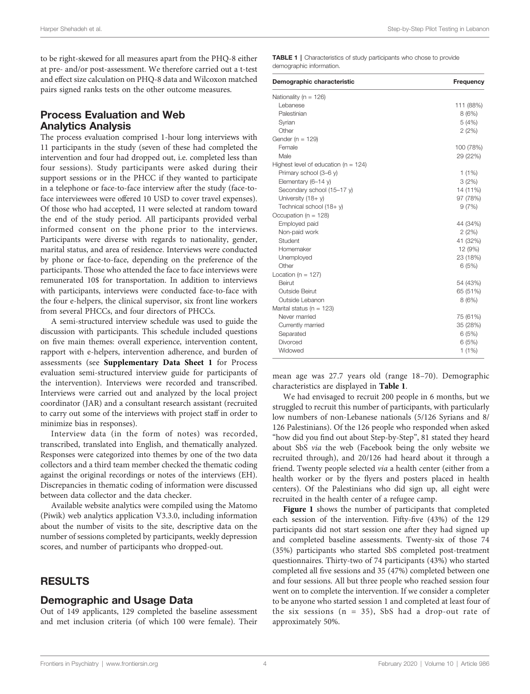to be right-skewed for all measures apart from the PHQ-8 either at pre- and/or post-assessment. We therefore carried out a t-test and effect size calculation on PHQ-8 data and Wilcoxon matched pairs signed ranks tests on the other outcome measures.

### Process Evaluation and Web Analytics Analysis

The process evaluation comprised 1-hour long interviews with 11 participants in the study (seven of these had completed the intervention and four had dropped out, i.e. completed less than four sessions). Study participants were asked during their support sessions or in the PHCC if they wanted to participate in a telephone or face-to-face interview after the study (face-toface interviewees were offered 10 USD to cover travel expenses). Of those who had accepted, 11 were selected at random toward the end of the study period. All participants provided verbal informed consent on the phone prior to the interviews. Participants were diverse with regards to nationality, gender, marital status, and area of residence. Interviews were conducted by phone or face-to-face, depending on the preference of the participants. Those who attended the face to face interviews were remunerated 10\$ for transportation. In addition to interviews with participants, interviews were conducted face-to-face with the four e-helpers, the clinical supervisor, six front line workers from several PHCCs, and four directors of PHCCs.

A semi-structured interview schedule was used to guide the discussion with participants. This schedule included questions on five main themes: overall experience, intervention content, rapport with e-helpers, intervention adherence, and burden of assessments (see [Supplementary Data Sheet 1](#page-9-0) for Process evaluation semi-structured interview guide for participants of the intervention). Interviews were recorded and transcribed. Interviews were carried out and analyzed by the local project coordinator (JAR) and a consultant research assistant (recruited to carry out some of the interviews with project staff in order to minimize bias in responses).

Interview data (in the form of notes) was recorded, transcribed, translated into English, and thematically analyzed. Responses were categorized into themes by one of the two data collectors and a third team member checked the thematic coding against the original recordings or notes of the interviews (EH). Discrepancies in thematic coding of information were discussed between data collector and the data checker.

Available website analytics were compiled using the Matomo (Piwik) web analytics application V3.3.0, including information about the number of visits to the site, descriptive data on the number of sessions completed by participants, weekly depression scores, and number of participants who dropped-out.

### RESULTS

# Demographic and Usage Data

Out of 149 applicants, 129 completed the baseline assessment and met inclusion criteria (of which 100 were female). Their TABLE 1 | Characteristics of study participants who chose to provide demographic information.

| Demographic characteristic               | Frequency |
|------------------------------------------|-----------|
| Nationality ( $n = 126$ )                |           |
| Lebanese                                 | 111 (88%) |
| Palestinian                              | 8(6%)     |
| Syrian                                   | 5(4%)     |
| Other                                    | 2(2%)     |
| Gender ( $n = 129$ )                     |           |
| Female                                   | 100 (78%) |
| Male                                     | 29 (22%)  |
| Highest level of education ( $n = 124$ ) |           |
| Primary school (3-6 y)                   | $1(1\%)$  |
| Elementary (6-14 y)                      | 3(2%)     |
| Secondary school (15-17 y)               | 14 (11%)  |
| University (18+y)                        | 97 (78%)  |
| Technical school (18+ y)                 | 9(7%)     |
| Occupation ( $n = 128$ )                 |           |
| Employed paid                            | 44 (34%)  |
| Non-paid work                            | 2(2%)     |
| Student                                  | 41 (32%)  |
| Homemaker                                | 12 (9%)   |
| Unemployed                               | 23 (18%)  |
| Other                                    | 6(5%)     |
| Location ( $n = 127$ )                   |           |
| Beirut                                   | 54 (43%)  |
| Outside Beirut                           | 65 (51%)  |
| Outside Lebanon                          | 8(6%)     |
| Marital status ( $n = 123$ )             |           |
| Never married                            | 75 (61%)  |
| Currently married                        | 35 (28%)  |
| Separated                                | 6(5%)     |
| Divorced                                 | 6(5%)     |
| Widowed                                  | $1(1\%)$  |

mean age was 27.7 years old (range 18–70). Demographic characteristics are displayed in Table 1.

We had envisaged to recruit 200 people in 6 months, but we struggled to recruit this number of participants, with particularly low numbers of non-Lebanese nationals (5/126 Syrians and 8/ 126 Palestinians). Of the 126 people who responded when asked "how did you find out about Step-by-Step", 81 stated they heard about SbS via the web (Facebook being the only website we recruited through), and 20/126 had heard about it through a friend. Twenty people selected via a health center (either from a health worker or by the flyers and posters placed in health centers). Of the Palestinians who did sign up, all eight were recruited in the health center of a refugee camp.

[Figure 1](#page-4-0) shows the number of participants that completed each session of the intervention. Fifty-five (43%) of the 129 participants did not start session one after they had signed up and completed baseline assessments. Twenty-six of those 74 (35%) participants who started SbS completed post-treatment questionnaires. Thirty-two of 74 participants (43%) who started completed all five sessions and 35 (47%) completed between one and four sessions. All but three people who reached session four went on to complete the intervention. If we consider a completer to be anyone who started session 1 and completed at least four of the six sessions (n = 35), SbS had a drop-out rate of approximately 50%.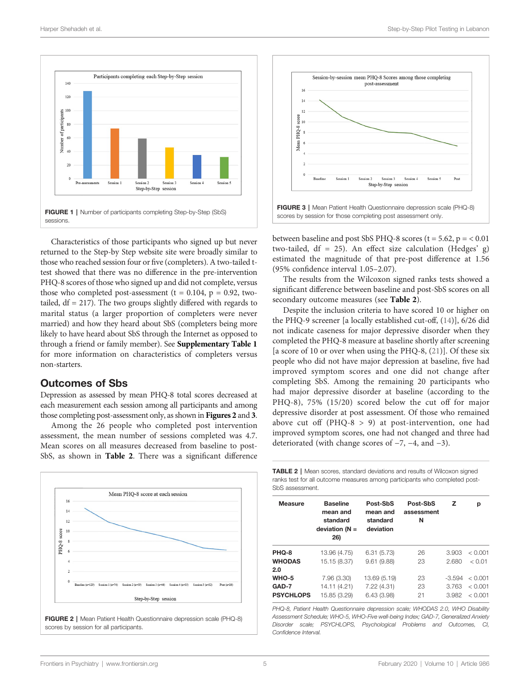<span id="page-4-0"></span>



Characteristics of those participants who signed up but never returned to the Step-by Step website site were broadly similar to those who reached session four or five (completers). A two-tailed ttest showed that there was no difference in the pre-intervention PHQ-8 scores of those who signed up and did not complete, versus those who completed post-assessment ( $t = 0.104$ ,  $p = 0.92$ , twotailed,  $df = 217$ ). The two groups slightly differed with regards to marital status (a larger proportion of completers were never married) and how they heard about SbS (completers being more likely to have heard about SbS through the Internet as opposed to through a friend or family member). See [Supplementary Table 1](#page-9-0) for more information on characteristics of completers versus non-starters.

### Outcomes of Sbs

Depression as assessed by mean PHQ-8 total scores decreased at each measurement each session among all participants and among those completing post-assessment only, as shown in Figures 2 and 3.

Among the 26 people who completed post intervention assessment, the mean number of sessions completed was 4.7. Mean scores on all measures decreased from baseline to post-SbS, as shown in Table 2. There was a significant difference



FIGURE 2 | Mean Patient Health Questionnaire depression scale (PHQ-8) scores by session for all participants.



scores by session for those completing post assessment only.

between baseline and post SbS PHQ-8 scores ( $t = 5.62$ ,  $p = < 0.01$ two-tailed, df = 25). An effect size calculation (Hedges' g) estimated the magnitude of that pre-post difference at 1.56 (95% confidence interval 1.05–2.07).

The results from the Wilcoxon signed ranks tests showed a significant difference between baseline and post-SbS scores on all secondary outcome measures (see Table 2).

Despite the inclusion criteria to have scored 10 or higher on the PHQ-9 screener [a locally established cut-off, [\(14](#page-9-0))], 6/26 did not indicate caseness for major depressive disorder when they completed the PHQ-8 measure at baseline shortly after screening [a score of 10 or over when using the PHQ-8, [\(21](#page-10-0))]. Of these six people who did not have major depression at baseline, five had improved symptom scores and one did not change after completing SbS. Among the remaining 20 participants who had major depressive disorder at baseline (according to the PHQ-8), 75% (15/20) scored below the cut off for major depressive disorder at post assessment. Of those who remained above cut off  $(PHQ-8 > 9)$  at post-intervention, one had improved symptom scores, one had not changed and three had deteriorated (with change scores of −7, −4, and −3).

TABLE 2 | Mean scores, standard deviations and results of Wilcoxon signed ranks test for all outcome measures among participants who completed post-SbS assessment.

| <b>Measure</b>   | <b>Baseline</b><br>mean and<br>standard<br>deviation $(N =$<br>26) | Post-SbS<br>mean and<br>standard<br>deviation | Post-SbS<br>assessment<br>N | z        | р       |
|------------------|--------------------------------------------------------------------|-----------------------------------------------|-----------------------------|----------|---------|
| PHQ-8            | 13.96 (4.75)                                                       | 6.31(5.73)                                    | 26                          | 3.903    | < 0.001 |
| <b>WHODAS</b>    | 15.15 (8.37)                                                       | 9.61(9.88)                                    | 23                          | 2.680    | < 0.01  |
| 2.0              |                                                                    |                                               |                             |          |         |
| WHO-5            | 7.96 (3.30)                                                        | 13.69 (5.19)                                  | 23                          | $-3.594$ | < 0.001 |
| GAD-7            | 14.11 (4.21)                                                       | 7.22 (4.31)                                   | 23                          | 3.763    | < 0.001 |
| <b>PSYCHLOPS</b> | 15.85 (3.29)                                                       | 6.43(3.98)                                    | 21                          | 3.982    | < 0.001 |
|                  |                                                                    |                                               |                             |          |         |

PHQ-8, Patient Health Questionnaire depression scale; WHODAS 2.0, WHO Disability Assessment Schedule; WHO-5, WHO-Five well-being Index; GAD-7, Generalized Anxiety Disorder scale; PSYCHLOPS, Psychological Problems and Outcomes, CI, Confidence Interval.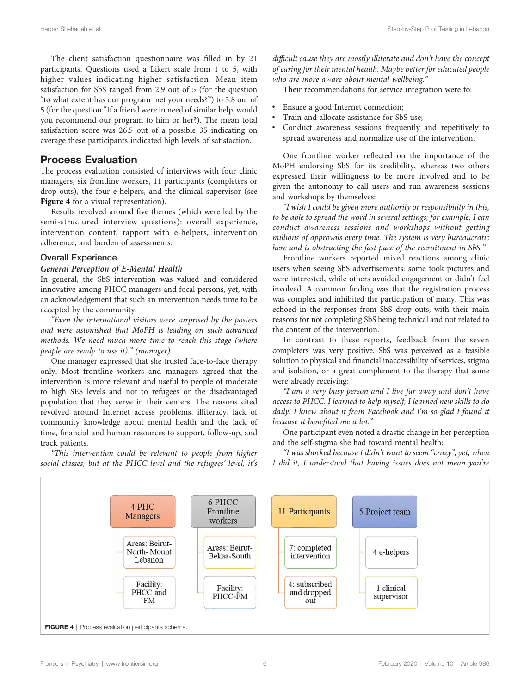The client satisfaction questionnaire was filled in by 21 participants. Questions used a Likert scale from 1 to 5, with higher values indicating higher satisfaction. Mean item satisfaction for SbS ranged from 2.9 out of 5 (for the question "to what extent has our program met your needs?") to 3.8 out of 5 (for the question "If a friend were in need of similar help, would you recommend our program to him or her?). The mean total satisfaction score was 26.5 out of a possible 35 indicating on average these participants indicated high levels of satisfaction.

### Process Evaluation

The process evaluation consisted of interviews with four clinic managers, six frontline workers, 11 participants (completers or drop-outs), the four e-helpers, and the clinical supervisor (see Figure 4 for a visual representation).

Results revolved around five themes (which were led by the semi-structured interview questions): overall experience, intervention content, rapport with e-helpers, intervention adherence, and burden of assessments.

#### Overall Experience

#### General Perception of E-Mental Health

In general, the SbS intervention was valued and considered innovative among PHCC managers and focal persons, yet, with an acknowledgement that such an intervention needs time to be accepted by the community.

"Even the international visitors were surprised by the posters and were astonished that MoPH is leading on such advanced methods. We need much more time to reach this stage (where people are ready to use it)." (manager)

One manager expressed that she trusted face-to-face therapy only. Most frontline workers and managers agreed that the intervention is more relevant and useful to people of moderate to high SES levels and not to refugees or the disadvantaged population that they serve in their centers. The reasons cited revolved around Internet access problems, illiteracy, lack of community knowledge about mental health and the lack of time, financial and human resources to support, follow-up, and track patients.

"This intervention could be relevant to people from higher social classes; but at the PHCC level and the refugees' level, it's difficult cause they are mostly illiterate and don't have the concept of caring for their mental health. Maybe better for educated people who are more aware about mental wellbeing."

Their recommendations for service integration were to:

- Ensure a good Internet connection;
- Train and allocate assistance for SbS use;
- Conduct awareness sessions frequently and repetitively to spread awareness and normalize use of the intervention.

One frontline worker reflected on the importance of the MoPH endorsing SbS for its credibility, whereas two others expressed their willingness to be more involved and to be given the autonomy to call users and run awareness sessions and workshops by themselves:

"I wish I could be given more authority or responsibility in this, to be able to spread the word in several settings; for example, I can conduct awareness sessions and workshops without getting millions of approvals every time. The system is very bureaucratic here and is obstructing the fast pace of the recruitment in SbS."

Frontline workers reported mixed reactions among clinic users when seeing SbS advertisements: some took pictures and were interested, while others avoided engagement or didn't feel involved. A common finding was that the registration process was complex and inhibited the participation of many. This was echoed in the responses from SbS drop-outs, with their main reasons for not completing SbS being technical and not related to the content of the intervention.

In contrast to these reports, feedback from the seven completers was very positive. SbS was perceived as a feasible solution to physical and financial inaccessibility of services, stigma and isolation, or a great complement to the therapy that some were already receiving:

"I am a very busy person and I live far away and don't have access to PHCC. I learned to help myself, I learned new skills to do daily. I knew about it from Facebook and I'm so glad I found it because it benefited me a lot."

One participant even noted a drastic change in her perception and the self-stigma she had toward mental health:

"I was shocked because I didn't want to seem "crazy", yet, when I did it, I understood that having issues does not mean you're

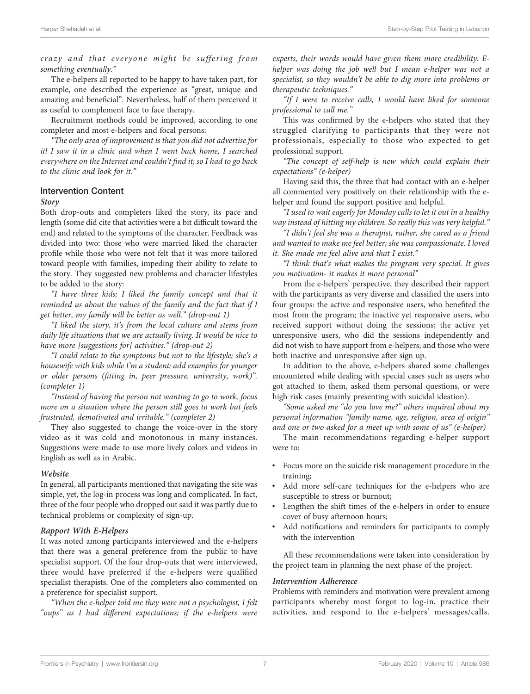crazy and that everyone might be suffering from something eventually."

The e-helpers all reported to be happy to have taken part, for example, one described the experience as "great, unique and amazing and beneficial". Nevertheless, half of them perceived it as useful to complement face to face therapy.

Recruitment methods could be improved, according to one completer and most e-helpers and focal persons:

"The only area of improvement is that you did not advertise for it! I saw it in a clinic and when I went back home, I searched everywhere on the Internet and couldn't find it; so I had to go back to the clinic and look for it."

### Intervention Content

#### Story

Both drop-outs and completers liked the story, its pace and length (some did cite that activities were a bit difficult toward the end) and related to the symptoms of the character. Feedback was divided into two: those who were married liked the character profile while those who were not felt that it was more tailored toward people with families, impeding their ability to relate to the story. They suggested new problems and character lifestyles to be added to the story:

"I have three kids; I liked the family concept and that it reminded us about the values of the family and the fact that if I get better, my family will be better as well." (drop-out 1)

"I liked the story, it's from the local culture and stems from daily life situations that we are actually living. It would be nice to have more [suggestions for] activities." (drop-out 2)

"I could relate to the symptoms but not to the lifestyle; she's a housewife with kids while I'm a student; add examples for younger or older persons (fitting in, peer pressure, university, work)". (completer 1)

"Instead of having the person not wanting to go to work, focus more on a situation where the person still goes to work but feels frustrated, demotivated and irritable." (completer 2)

They also suggested to change the voice-over in the story video as it was cold and monotonous in many instances. Suggestions were made to use more lively colors and videos in English as well as in Arabic.

#### Website

In general, all participants mentioned that navigating the site was simple, yet, the log-in process was long and complicated. In fact, three of the four people who dropped out said it was partly due to technical problems or complexity of sign-up.

#### Rapport With E-Helpers

It was noted among participants interviewed and the e-helpers that there was a general preference from the public to have specialist support. Of the four drop-outs that were interviewed, three would have preferred if the e-helpers were qualified specialist therapists. One of the completers also commented on a preference for specialist support.

"When the e-helper told me they were not a psychologist, I felt "oups" as I had different expectations; if the e-helpers were

experts, their words would have given them more credibility. Ehelper was doing the job well but I mean e-helper was not a specialist, so they wouldn't be able to dig more into problems or therapeutic techniques."

"If I were to receive calls, I would have liked for someone professional to call me."

This was confirmed by the e-helpers who stated that they struggled clarifying to participants that they were not professionals, especially to those who expected to get professional support.

"The concept of self-help is new which could explain their expectations" (e-helper)

Having said this, the three that had contact with an e-helper all commented very positively on their relationship with the ehelper and found the support positive and helpful.

"I used to wait eagerly for Monday calls to let it out in a healthy way instead of hitting my children. So really this was very helpful."

"I didn't feel she was a therapist, rather, she cared as a friend and wanted to make me feel better; she was compassionate. I loved it. She made me feel alive and that I exist."

"I think that's what makes the program very special. It gives you motivation- it makes it more personal"

From the e-helpers' perspective, they described their rapport with the participants as very diverse and classified the users into four groups: the active and responsive users, who benefited the most from the program; the inactive yet responsive users, who received support without doing the sessions; the active yet unresponsive users, who did the sessions independently and did not wish to have support from e-helpers; and those who were both inactive and unresponsive after sign up.

In addition to the above, e-helpers shared some challenges encountered while dealing with special cases such as users who got attached to them, asked them personal questions, or were high risk cases (mainly presenting with suicidal ideation).

"Some asked me "do you love me?" others inquired about my personal information "family name, age, religion, area of origin" and one or two asked for a meet up with some of us" (e-helper)

The main recommendations regarding e-helper support were to:

- Focus more on the suicide risk management procedure in the training;
- Add more self-care techniques for the e-helpers who are susceptible to stress or burnout;
- Lengthen the shift times of the e-helpers in order to ensure cover of busy afternoon hours;
- Add notifications and reminders for participants to comply with the intervention

All these recommendations were taken into consideration by the project team in planning the next phase of the project.

#### Intervention Adherence

Problems with reminders and motivation were prevalent among participants whereby most forgot to log-in, practice their activities, and respond to the e-helpers' messages/calls.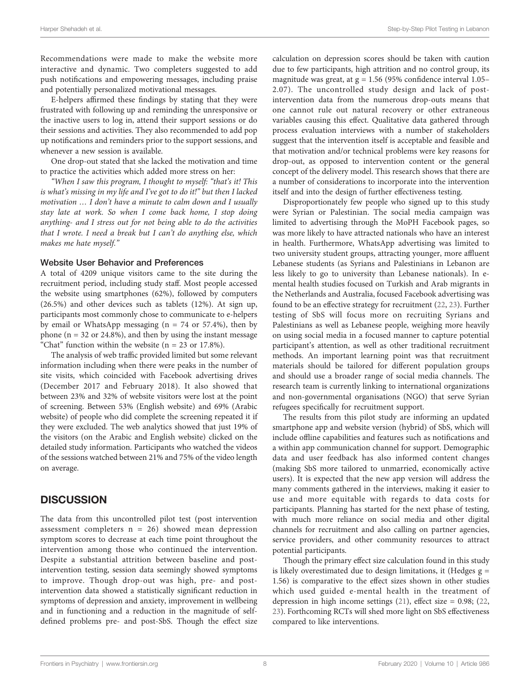Recommendations were made to make the website more interactive and dynamic. Two completers suggested to add push notifications and empowering messages, including praise and potentially personalized motivational messages.

E-helpers affirmed these findings by stating that they were frustrated with following up and reminding the unresponsive or the inactive users to log in, attend their support sessions or do their sessions and activities. They also recommended to add pop up notifications and reminders prior to the support sessions, and whenever a new session is available.

One drop-out stated that she lacked the motivation and time to practice the activities which added more stress on her:

"When I saw this program, I thought to myself: "that's it! This is what's missing in my life and I've got to do it!" but then I lacked motivation … I don't have a minute to calm down and I usually stay late at work. So when I come back home, I stop doing anything- and I stress out for not being able to do the activities that I wrote. I need a break but I can't do anything else, which makes me hate myself."

#### Website User Behavior and Preferences

A total of 4209 unique visitors came to the site during the recruitment period, including study staff. Most people accessed the website using smartphones (62%), followed by computers (26.5%) and other devices such as tablets (12%). At sign up, participants most commonly chose to communicate to e-helpers by email or WhatsApp messaging  $(n = 74 \text{ or } 57.4\%)$ , then by phone ( $n = 32$  or 24.8%), and then by using the instant message "Chat" function within the website  $(n = 23 \text{ or } 17.8\%).$ 

The analysis of web traffic provided limited but some relevant information including when there were peaks in the number of site visits, which coincided with Facebook advertising drives (December 2017 and February 2018). It also showed that between 23% and 32% of website visitors were lost at the point of screening. Between 53% (English website) and 69% (Arabic website) of people who did complete the screening repeated it if they were excluded. The web analytics showed that just 19% of the visitors (on the Arabic and English website) clicked on the detailed study information. Participants who watched the videos of the sessions watched between 21% and 75% of the video length on average.

### **DISCUSSION**

The data from this uncontrolled pilot test (post intervention assessment completers  $n = 26$ ) showed mean depression symptom scores to decrease at each time point throughout the intervention among those who continued the intervention. Despite a substantial attrition between baseline and postintervention testing, session data seemingly showed symptoms to improve. Though drop-out was high, pre- and postintervention data showed a statistically significant reduction in symptoms of depression and anxiety, improvement in wellbeing and in functioning and a reduction in the magnitude of selfdefined problems pre- and post-SbS. Though the effect size

calculation on depression scores should be taken with caution due to few participants, high attrition and no control group, its magnitude was great, at  $g = 1.56$  (95% confidence interval 1.05– 2.07). The uncontrolled study design and lack of postintervention data from the numerous drop-outs means that one cannot rule out natural recovery or other extraneous variables causing this effect. Qualitative data gathered through process evaluation interviews with a number of stakeholders suggest that the intervention itself is acceptable and feasible and that motivation and/or technical problems were key reasons for drop-out, as opposed to intervention content or the general concept of the delivery model. This research shows that there are a number of considerations to incorporate into the intervention itself and into the design of further effectiveness testing.

Disproportionately few people who signed up to this study were Syrian or Palestinian. The social media campaign was limited to advertising through the MoPH Facebook pages, so was more likely to have attracted nationals who have an interest in health. Furthermore, WhatsApp advertising was limited to two university student groups, attracting younger, more affluent Lebanese students (as Syrians and Palestinians in Lebanon are less likely to go to university than Lebanese nationals). In emental health studies focused on Turkish and Arab migrants in the Netherlands and Australia, focused Facebook advertising was found to be an effective strategy for recruitment [\(22](#page-10-0), [23\)](#page-10-0). Further testing of SbS will focus more on recruiting Syrians and Palestinians as well as Lebanese people, weighing more heavily on using social media in a focused manner to capture potential participant's attention, as well as other traditional recruitment methods. An important learning point was that recruitment materials should be tailored for different population groups and should use a broader range of social media channels. The research team is currently linking to international organizations and non-governmental organisations (NGO) that serve Syrian refugees specifically for recruitment support.

The results from this pilot study are informing an updated smartphone app and website version (hybrid) of SbS, which will include offline capabilities and features such as notifications and a within app communication channel for support. Demographic data and user feedback has also informed content changes (making SbS more tailored to unmarried, economically active users). It is expected that the new app version will address the many comments gathered in the interviews, making it easier to use and more equitable with regards to data costs for participants. Planning has started for the next phase of testing, with much more reliance on social media and other digital channels for recruitment and also calling on partner agencies, service providers, and other community resources to attract potential participants.

Though the primary effect size calculation found in this study is likely overestimated due to design limitations, it (Hedges  $g =$ 1.56) is comparative to the effect sizes shown in other studies which used guided e-mental health in the treatment of depression in high income settings  $(21)$  $(21)$ , effect size = 0.98;  $(22)$ , [23](#page-10-0)). Forthcoming RCTs will shed more light on SbS effectiveness compared to like interventions.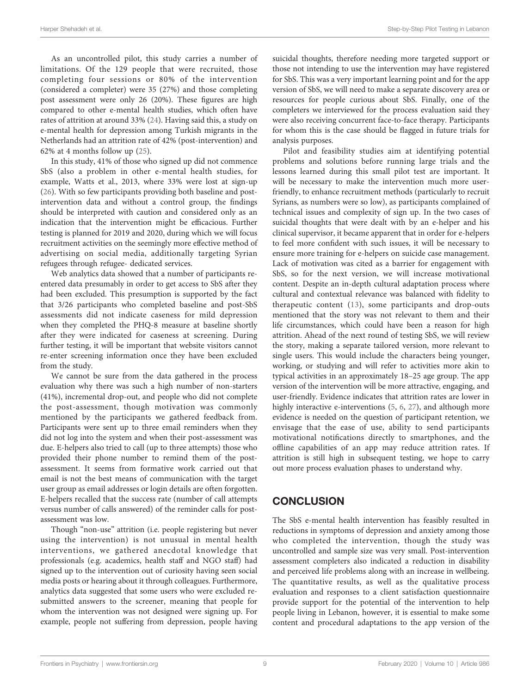As an uncontrolled pilot, this study carries a number of limitations. Of the 129 people that were recruited, those completing four sessions or 80% of the intervention (considered a completer) were 35 (27%) and those completing post assessment were only 26 (20%). These figures are high compared to other e-mental health studies, which often have rates of attrition at around 33% ([24\)](#page-10-0). Having said this, a study on e-mental health for depression among Turkish migrants in the Netherlands had an attrition rate of 42% (post-intervention) and 62% at 4 months follow up ([25\)](#page-10-0).

In this study, 41% of those who signed up did not commence SbS (also a problem in other e-mental health studies, for example, Watts et al., 2013, where 33% were lost at sign-up ([26\)](#page-10-0). With so few participants providing both baseline and postintervention data and without a control group, the findings should be interpreted with caution and considered only as an indication that the intervention might be efficacious. Further testing is planned for 2019 and 2020, during which we will focus recruitment activities on the seemingly more effective method of advertising on social media, additionally targeting Syrian refugees through refugee- dedicated services.

Web analytics data showed that a number of participants reentered data presumably in order to get access to SbS after they had been excluded. This presumption is supported by the fact that 3/26 participants who completed baseline and post-SbS assessments did not indicate caseness for mild depression when they completed the PHQ-8 measure at baseline shortly after they were indicated for caseness at screening. During further testing, it will be important that website visitors cannot re-enter screening information once they have been excluded from the study.

We cannot be sure from the data gathered in the process evaluation why there was such a high number of non-starters (41%), incremental drop-out, and people who did not complete the post-assessment, though motivation was commonly mentioned by the participants we gathered feedback from. Participants were sent up to three email reminders when they did not log into the system and when their post-assessment was due. E-helpers also tried to call (up to three attempts) those who provided their phone number to remind them of the postassessment. It seems from formative work carried out that email is not the best means of communication with the target user group as email addresses or login details are often forgotten. E-helpers recalled that the success rate (number of call attempts versus number of calls answered) of the reminder calls for postassessment was low.

Though "non-use" attrition (i.e. people registering but never using the intervention) is not unusual in mental health interventions, we gathered anecdotal knowledge that professionals (e.g. academics, health staff and NGO staff) had signed up to the intervention out of curiosity having seen social media posts or hearing about it through colleagues. Furthermore, analytics data suggested that some users who were excluded resubmitted answers to the screener, meaning that people for whom the intervention was not designed were signing up. For example, people not suffering from depression, people having suicidal thoughts, therefore needing more targeted support or those not intending to use the intervention may have registered for SbS. This was a very important learning point and for the app version of SbS, we will need to make a separate discovery area or resources for people curious about SbS. Finally, one of the completers we interviewed for the process evaluation said they were also receiving concurrent face-to-face therapy. Participants for whom this is the case should be flagged in future trials for analysis purposes.

Pilot and feasibility studies aim at identifying potential problems and solutions before running large trials and the lessons learned during this small pilot test are important. It will be necessary to make the intervention much more userfriendly, to enhance recruitment methods (particularly to recruit Syrians, as numbers were so low), as participants complained of technical issues and complexity of sign up. In the two cases of suicidal thoughts that were dealt with by an e-helper and his clinical supervisor, it became apparent that in order for e-helpers to feel more confident with such issues, it will be necessary to ensure more training for e-helpers on suicide case management. Lack of motivation was cited as a barrier for engagement with SbS, so for the next version, we will increase motivational content. Despite an in-depth cultural adaptation process where cultural and contextual relevance was balanced with fidelity to therapeutic content ([13](#page-9-0)), some participants and drop-outs mentioned that the story was not relevant to them and their life circumstances, which could have been a reason for high attrition. Ahead of the next round of testing SbS, we will review the story, making a separate tailored version, more relevant to single users. This would include the characters being younger, working, or studying and will refer to activities more akin to typical activities in an approximately 18–25 age group. The app version of the intervention will be more attractive, engaging, and user-friendly. Evidence indicates that attrition rates are lower in highly interactive e-interventions [\(5,](#page-9-0) [6](#page-9-0), [27\)](#page-10-0), and although more evidence is needed on the question of participant retention, we envisage that the ease of use, ability to send participants motivational notifications directly to smartphones, and the offline capabilities of an app may reduce attrition rates. If attrition is still high in subsequent testing, we hope to carry out more process evaluation phases to understand why.

# **CONCLUSION**

The SbS e-mental health intervention has feasibly resulted in reductions in symptoms of depression and anxiety among those who completed the intervention, though the study was uncontrolled and sample size was very small. Post-intervention assessment completers also indicated a reduction in disability and perceived life problems along with an increase in wellbeing. The quantitative results, as well as the qualitative process evaluation and responses to a client satisfaction questionnaire provide support for the potential of the intervention to help people living in Lebanon, however, it is essential to make some content and procedural adaptations to the app version of the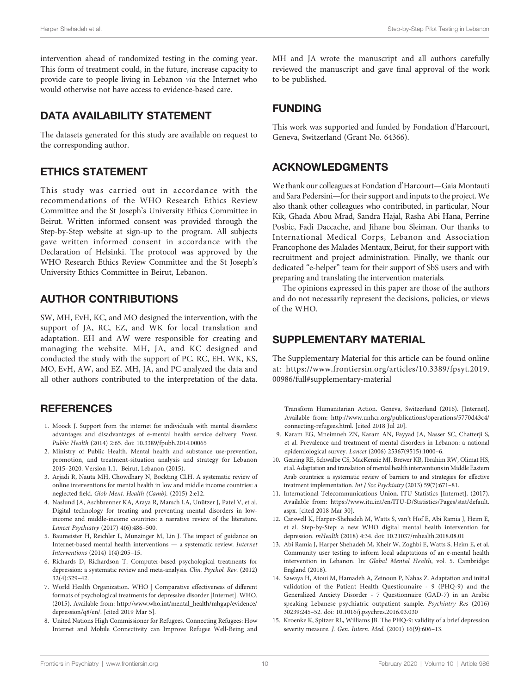<span id="page-9-0"></span>intervention ahead of randomized testing in the coming year. This form of treatment could, in the future, increase capacity to provide care to people living in Lebanon via the Internet who would otherwise not have access to evidence-based care.

# DATA AVAILABILITY STATEMENT

The datasets generated for this study are available on request to the corresponding author.

# ETHICS STATEMENT

This study was carried out in accordance with the recommendations of the WHO Research Ethics Review Committee and the St Joseph's University Ethics Committee in Beirut. Written informed consent was provided through the Step-by-Step website at sign-up to the program. All subjects gave written informed consent in accordance with the Declaration of Helsinki. The protocol was approved by the WHO Research Ethics Review Committee and the St Joseph's University Ethics Committee in Beirut, Lebanon.

# AUTHOR CONTRIBUTIONS

SW, MH, EvH, KC, and MO designed the intervention, with the support of JA, RC, EZ, and WK for local translation and adaptation. EH and AW were responsible for creating and managing the website. MH, JA, and KC designed and conducted the study with the support of PC, RC, EH, WK, KS, MO, EvH, AW, and EZ. MH, JA, and PC analyzed the data and all other authors contributed to the interpretation of the data.

# **REFERENCES**

- 1. Moock J. Support from the internet for individuals with mental disorders: advantages and disadvantages of e-mental health service delivery. Front. Public Health (2014) 2:65. doi: [10.3389/fpubh.2014.00065](https://doi.org/10.3389/fpubh.2014.00065)
- 2. Ministry of Public Health. Mental health and substance use-prevention, promotion, and treatment-situation analysis and strategy for Lebanon 2015–2020. Version 1.1. Beirut, Lebanon (2015).
- 3. Arjadi R, Nauta MH, Chowdhary N, Bockting CLH. A systematic review of online interventions for mental health in low and middle income countries: a neglected field. Glob Ment. Health (Camb). (2015) 2:e12.
- 4. Naslund JA, Aschbrenner KA, Araya R, Marsch LA, Unützer J, Patel V, et al. Digital technology for treating and preventing mental disorders in lowincome and middle-income countries: a narrative review of the literature. Lancet Psychiatry (2017) 4(6):486–500.
- 5. Baumeister H, Reichler L, Munzinger M, Lin J. The impact of guidance on Internet-based mental health interventions — a systematic review. Internet Interventions (2014) 1(4):205–15.
- 6. Richards D, Richardson T. Computer-based psychological treatments for depression: a systematic review and meta-analysis. Clin. Psychol. Rev. (2012) 32(4):329–42.
- 7. World Health Organization. WHO | Comparative effectiveness of different formats of psychological treatments for depressive disorder [Internet]. WHO. (2015). Available from: [http://www.who.int/mental\\_health/mhgap/evidence/](http://www.who.int/mental_health/mhgap/evidence/depression/q8/en/) [depression/q8/en/.](http://www.who.int/mental_health/mhgap/evidence/depression/q8/en/) [cited 2019 Mar 5].
- 8. United Nations High Commissioner for Refugees. Connecting Refugees: How Internet and Mobile Connectivity can Improve Refugee Well-Being and

MH and JA wrote the manuscript and all authors carefully reviewed the manuscript and gave final approval of the work to be published.

# FUNDING

This work was supported and funded by Fondation d'Harcourt, Geneva, Switzerland (Grant No. 64366).

### ACKNOWLEDGMENTS

We thank our colleagues at Fondation d'Harcourt—Gaia Montauti and Sara Pedersini—for their support and inputs to the project. We also thank other colleagues who contributed, in particular, Nour Kik, Ghada Abou Mrad, Sandra Hajal, Rasha Abi Hana, Perrine Posbic, Fadi Daccache, and Jihane bou Sleiman. Our thanks to International Medical Corps, Lebanon and Association Francophone des Malades Mentaux, Beirut, for their support with recruitment and project administration. Finally, we thank our dedicated "e-helper" team for their support of SbS users and with preparing and translating the intervention materials.

The opinions expressed in this paper are those of the authors and do not necessarily represent the decisions, policies, or views of the WHO.

# SUPPLEMENTARY MATERIAL

The Supplementary Material for this article can be found online at: [https://www.frontiersin.org/articles/10.3389/fpsyt.2019.](https://www.frontiersin.org/articles/10.3389/fpsyt.2019.00986/full#supplementary-material) [00986/full#supplementary-material](https://www.frontiersin.org/articles/10.3389/fpsyt.2019.00986/full#supplementary-material)

Transform Humanitarian Action. Geneva, Switzerland (2016). [Internet]. Available from: [http://www.unhcr.org/publications/operations/5770d43c4/](http://www.unhcr.org/publications/operations/5770d43c4/connecting-refugees.html) [connecting-refugees.html](http://www.unhcr.org/publications/operations/5770d43c4/connecting-refugees.html). [cited 2018 Jul 20].

- 9. Karam EG, Mneimneh ZN, Karam AN, Fayyad JA, Nasser SC, Chatterji S, et al. Prevalence and treatment of mental disorders in Lebanon: a national epidemiological survey. Lancet (2006) 25367(9515):1000–6.
- 10. Gearing RE, Schwalbe CS, MacKenzie MJ, Brewer KB, Ibrahim RW, Olimat HS, et al. Adaptation and translation of mental health interventions in Middle Eastern Arab countries: a systematic review of barriers to and strategies for effective treatment implementation. Int J Soc Psychiatry (2013) 59(7):671–81.
- 11. International Telecommunications Union. ITU Statistics [Internet]. (2017). [Available from: https://www.itu.int/en/ITU-D/Statistics/Pages/stat/default.](https://www.itu.int/en/ITU-D/Statistics/Pages/stat/default.aspx) [aspx](https://www.itu.int/en/ITU-D/Statistics/Pages/stat/default.aspx). [cited 2018 Mar 30].
- 12. Carswell K, Harper-Shehadeh M, Watts S, van't Hof E, Abi Ramia J, Heim E, et al. Step-by-Step: a new WHO digital mental health intervention for depression. mHealth (2018) 4:34. doi: [10.21037/mhealth.2018.08.01](https://doi.org/10.21037/mhealth.2018.08.01)
- 13. Abi Ramia J, Harper Shehadeh M, Kheir W, Zoghbi E, Watts S, Heim E, et al. Community user testing to inform local adaptations of an e-mental health intervention in Lebanon. In: Global Mental Health, vol. 5. Cambridge: England (2018).
- 14. Sawaya H, Atoui M, Hamadeh A, Zeinoun P, Nahas Z. Adaptation and initial validation of the Patient Health Questionnaire - 9 (PHQ-9) and the Generalized Anxiety Disorder - 7 Questionnaire (GAD-7) in an Arabic speaking Lebanese psychiatric outpatient sample. Psychiatry Res (2016) 30239:245–52. doi: [10.1016/j.psychres.2016.03.030](https://doi.org/10.1016/j.psychres.2016.03.030)
- 15. Kroenke K, Spitzer RL, Williams JB. The PHQ-9: validity of a brief depression severity measure. J. Gen. Intern. Med. (2001) 16(9):606–13.